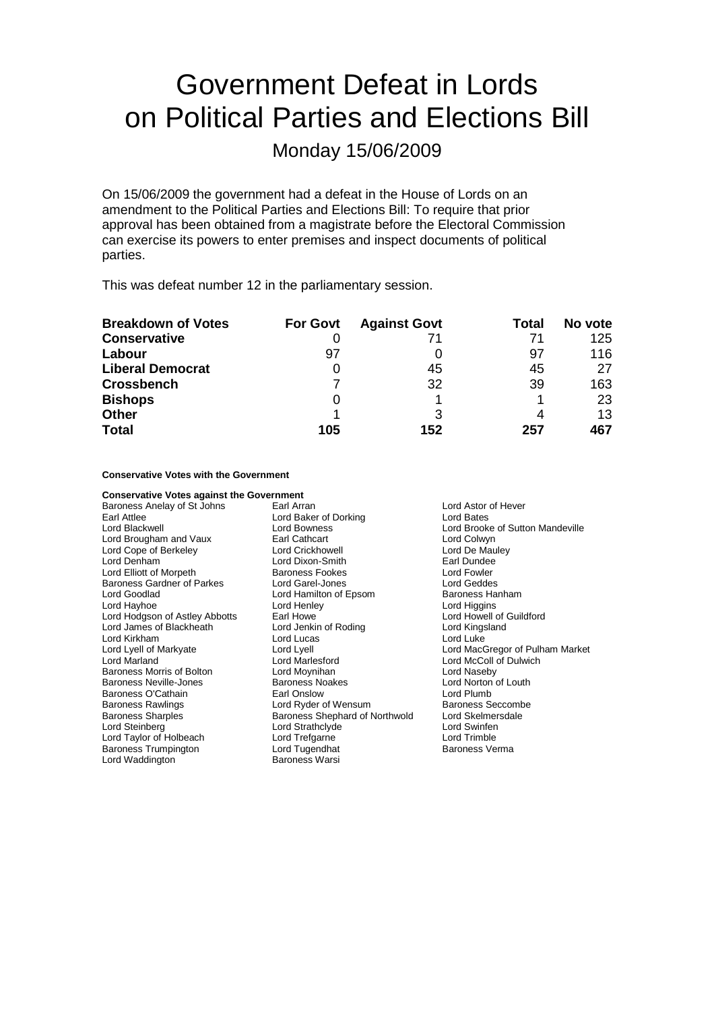# Government Defeat in Lords on Political Parties and Elections Bill

Monday 15/06/2009

On 15/06/2009 the government had a defeat in the House of Lords on an amendment to the Political Parties and Elections Bill: To require that prior approval has been obtained from a magistrate before the Electoral Commission can exercise its powers to enter premises and inspect documents of political parties.

This was defeat number 12 in the parliamentary session.

| <b>Breakdown of Votes</b> | <b>For Govt</b> | <b>Against Govt</b> | Total | No vote |
|---------------------------|-----------------|---------------------|-------|---------|
| <b>Conservative</b>       |                 | 71                  |       | 125     |
| Labour                    | 97              |                     | 97    | 116     |
| <b>Liberal Democrat</b>   |                 | 45                  | 45    | 27      |
| <b>Crossbench</b>         |                 | 32                  | 39    | 163     |
| <b>Bishops</b>            |                 |                     |       | 23      |
| <b>Other</b>              |                 | 3                   |       | 13      |
| <b>Total</b>              | 105             | 152                 | 257   | 467     |

#### **Conservative Votes with the Government**

| <b>Conservative Votes against the Government</b> |                                |  |  |
|--------------------------------------------------|--------------------------------|--|--|
| Baroness Anelay of St Johns                      | Earl Arran                     |  |  |
| Earl Attlee                                      | Lord Baker of Dorking          |  |  |
| Lord Blackwell                                   | <b>Lord Bowness</b>            |  |  |
| Lord Brougham and Vaux                           | <b>Earl Cathcart</b>           |  |  |
| Lord Cope of Berkeley                            | <b>Lord Crickhowell</b>        |  |  |
| Lord Denham                                      | Lord Dixon-Smith               |  |  |
| Lord Elliott of Morpeth                          | <b>Baroness Fookes</b>         |  |  |
| Baroness Gardner of Parkes                       | Lord Garel-Jones               |  |  |
| Lord Goodlad                                     | Lord Hamilton of Epsom         |  |  |
| Lord Hayhoe                                      | Lord Henley                    |  |  |
| Lord Hodgson of Astley Abbotts                   | Earl Howe                      |  |  |
| Lord James of Blackheath                         | Lord Jenkin of Roding          |  |  |
| Lord Kirkham                                     | Lord Lucas                     |  |  |
| Lord Lyell of Markyate                           | Lord Lyell                     |  |  |
| Lord Marland                                     | Lord Marlesford                |  |  |
| Baroness Morris of Bolton                        | Lord Moynihan                  |  |  |
| Baroness Neville-Jones                           | <b>Baroness Noakes</b>         |  |  |
| Baroness O'Cathain                               | Earl Onslow                    |  |  |
| <b>Baroness Rawlings</b>                         | Lord Ryder of Wensum           |  |  |
| <b>Baroness Sharples</b>                         | Baroness Shephard of Northwold |  |  |
| Lord Steinberg                                   | Lord Strathclyde               |  |  |
| Lord Taylor of Holbeach                          | Lord Trefgarne                 |  |  |
| <b>Baroness Trumpington</b>                      | Lord Tugendhat                 |  |  |
| Lord Waddington                                  | <b>Baroness Warsi</b>          |  |  |

**Lord Astor of Hever** Lord Bates Lord Brooke of Sutton Mandeville Lord Colwyn Lord De Mauley Earl Dundee Lord Fowler Baroness Gardner of Parkes Lord Garel-Jones Lord Geddes Baroness Hanham Lord Higgins Lord Howell of Guildford Lord Kingsland Lord Luke Lord MacGregor of Pulham Market Lord McColl of Dulwich Lord Naseby Lord Norton of Louth Lord Plumb Baroness Seccombe Lord Skelmersdale Lord Swinfen Lord Trimble Baroness Verma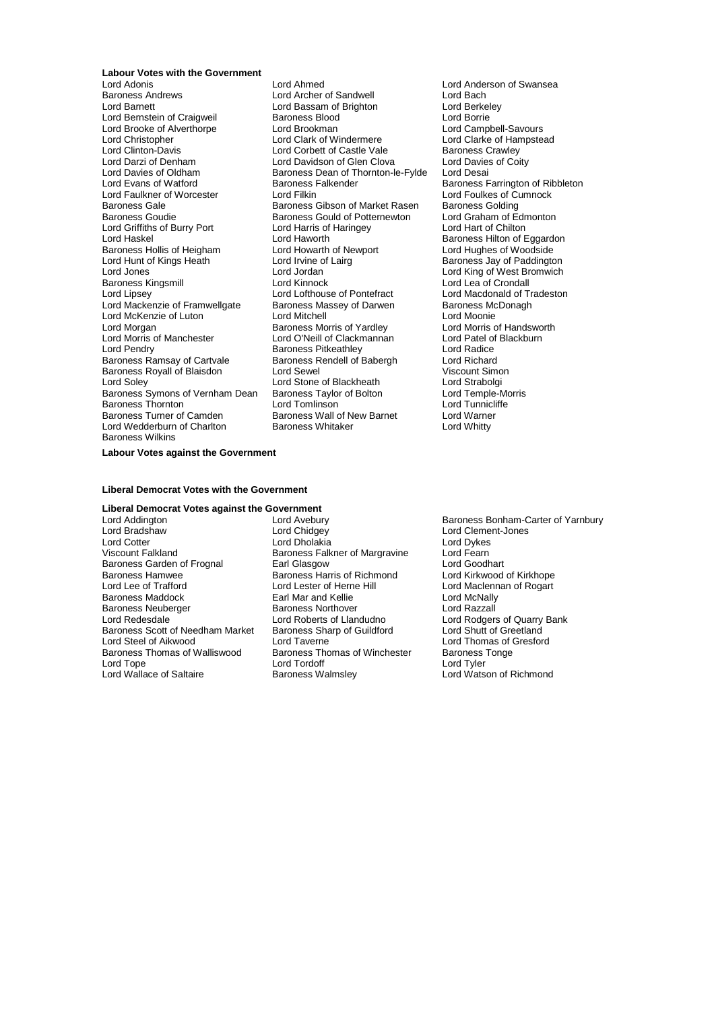## **Labour Votes with the Government**

Lord Brooke of Alverthorpe<br>
Lord Christopher Lord Clark of Windermere Baroness Gale Baroness Gibson of Market Rasen<br>Baroness Goudie Baroness Gould of Potternewton Lord Griffiths of Burry Port Lord Harris of Lord Harris of Chilton Lord Hart Childen Baroness Hollis of Heigham Lord Howarth of Newport Lord Hunt of Kings Heath Lord Irvine of Lairg Baroness Kingsmill **Example 2** Lord Kinnock<br>
Lord Libsev<br>
Lord Lofthouse of Pontefract Lord Wedderburn of Charlton Baroness Wilkins

Lord Adonis Lord Ahmed Lord Anderson of Swansea Lord Archer of Sandwell **Lord Bach<br>
Lord Bassam of Brighton Lord Berkeley** Lord Barnett **Lord Bassam of Brighton**<br>
Lord Bernstein of Craigweil **Corporation**<br>
Lord Borrie Lord Bernstein of Craigweil Baroness Blood<br>
Lord Brooke of Alverthorpe Lord Brookman Lord Campbell-Savours Lord Christopher **Lord Clark of Windermere** Lord Clarke of Hampstead<br>
Lord Clinton-Davis **Lord Corbett of Castle Vale** Baroness Crawley Lord Clinton-Davis **Lord Corbett of Castle Vale Corporation** Baroness Crawley<br>
Lord Darzi of Denham **Baroness Lord Davidson of Glen Clova** Lord Davies of Coi Lord Darzi of Denham **Lord Davidson of Glen Clova** Lord Davies of Coity<br>
Lord Davies of Oldham **Baroness** Dean of Thornton-le-Fylde Lord Desai Lord Davies of Oldham Baroness Dean of Thornton-le-Fylde<br>Lord Evans of Watford Baroness Ealkender Lord Evans of Watford **Baroness Falkender** Baroness Farrington of Ribbleton **Baroness Falkender** Baroness Farrington of Ribbleton **Baroness Falkender** Baroness Farrington of Ribbleton Lord Faulkner of Worcester Lord Filkin Lord Foulkes of Cumnock<br>
Baroness Gale Baroness Golding<br>
Baroness Goulie Baroness Gould of Potternewton Lord Graham of Edmonton Baroness Gould of Potternewton Lord Graham of Edmonton Lord Harris of Haringey Lord Hart of Chilton Lord Haworth **Baroness Hilton of Eggardon**<br>
Lord Howarth of Newport **Baroness Hilton of Eggardon** Lord Hunt of Kings Heath Lord Irvine of Lairg Baroness Jay of Paddington<br>
Lord Jones Lord Lord Jordan Lord King of West Bromwich Lord Jordan **Lord All Lord King of West Bromwich**<br>
Lord Kinnock **Lord Lea of Crondall** Lord Mackenzie of Framwellgate Baroness Massey of Darwen Baroness McDonagh<br>
Lord McKenzie of Luton **Baroness Lord Mitchell** Baroness McGonie Lord McKenzie of Luton **Lord Mitchell** Lord Mexican Lord Moonie<br>
Lord Morgan **Communist Communist Communist Communist Communist Communist Communist Communist Communist Communist** Lord Morgan **Baroness Morris of Yardley** Lord Morris of Handsworth Charles Baroness Morris of Yardley Lord Patel of Blackburn<br>Lord Morris of Manchester Lord O'Neill of Clackmannan Lord Patel of Blackburn Lord O'Neill of Clackmannan Lord Patel of Baroness Pitkeathley<br>Baroness Pitkeathley Lord Radice Lord Pendry **Community Community** Baroness Pitkeathley **Lord Radice**<br>Baroness Ramsay of Cartyale **Baroness Rendell of Babergh** Lord Richard Baroness Ramsay of Cartvale Baroness Rendell of Babergh Lord Richard<br>Baroness Royall of Blaisdon Lord Sewel Lord Ricount Simon Baroness Royall of Blaisdon Lord Sewel Cord Search Cord Viscount Simon Lord Strabolgi<br>
Lord Solev Cord Strabolgi Lord Stone of Blackheath Lord Strabolgi<br>
Baroness Taylor of Bolton Lord Temple-Morris Baroness Symons of Vernham Dean Baroness Taylor of Bolton Lord Temple-Morre Corpus Lord Temple-Morre Corpus Lor<br>Baroness Thornton Lord Tomlinson Lord Tunnicliffe Baroness Thornton **Exercise Section** Lord Tomlinson **Lord Tunniclifferial Cord Tunniclifferial**<br>Baroness Turner of Camden **Baroness Wall of New Barnet** Lord Warner Baroness Wall of New Barnet Lord Warne<br>
Baroness Whitaker Lord Whitty

Lord Macdonald of Tradeston

#### **Labour Votes against the Government**

#### **Liberal Democrat Votes with the Government**

## **Liberal Democrat Votes against the Government**

Lord Addington **Lord Avebury** Baroness Bonham-Carter of Yarnbury<br>
Lord Bradshaw **Baroness Bonham-Carter of Yarnbury**<br>
Lord Clement-Jones Lord Bradshaw Lord Chidgey Lord Clement-Jones Lord Cotter Lord Dholakia Lord Dykes Baroness Garden of Frognal Earl Glasgow Earl Coodhart<br>Baroness Hamwee Baroness Harris of Richmond Lord Kirkwood of Kirkhope Baroness Hamwee Baroness Harris of Richmond<br>
Lord Lee of Trafford Cord Lester of Herne Hill Baroness Maddock Baroness Neuberger Baroness Northover Corporation and Razzall<br>
Baroness Northover Corporation Lord Roberts of Landudno Corporation Lord Rodgers Lord Redesdale **Lord Roberts of Landudno** Lord Rodgers of Quarry Bank<br>
Baroness Scott of Needham Market Baroness Sharp of Guildford Lord Shutt of Greetland Baroness Scott of Needham Market<br>Lord Steel of Aikwood Baroness Thomas of Walliswood Baroness Thomas of Winchester Baroness<br>Lord Tope Lord Tordoff Tordoff Lord Tyler Lord Tope<br>
Lord Wallace of Saltaire<br>
Baroness Walmsley

Baroness Falkner of Margravine Lord Fearn<br>Earl Glasgow Lord Goodhart Lord Lester of Herne Hill Lord Maclennan of Rogart<br>
Earl Mar and Kellie **Hill Lord McNally** Lord Taverne<br>
Baroness Thomas of Winchester
Baroness Tonge<br>
Baroness Tonge

Lord Watson of Richmond